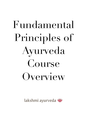# Fundamental Principles of Ayurveda Course Overview

lakshmi ayurveda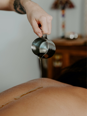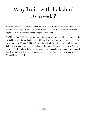### Why Train with Lakshmi Ayurveda?

Whether you aspire to become an Ayurvedic consultant, therapist or simply want to deepen your understanding of Ayurveda, Lakshmi Ayurveda is committed to providing you with the highest level of treatment training throughout the country.

You'll learn from Karin Gunthor, our senior facilitator, who has over 13 years experience in the field. Her training facilitation team will provide you with professional support to make the course enjoyable and fulfilling. The training will take place in the beautiful space at Lakshmi Ayurveda, a complete Panchakarma clinic located close to Fremantle in Western Australia. Karin leads the Panchakarma programs at Lakshmi Ayurveda and has completed her Certificate IV in Training and Assessment as well as a Bachelors of Ayurveda from Manipal University in India.

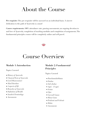### About the Course

**Pre-requisite:** The pre-requisite will be assessed on an individual basis. A sincere dedication to the path of Ayurveda is a must!

**Course requirements:** 100% attendance rate, passing assessments, an ongoing devotion to and love of Ayurveda, completion of teaching modules and completion of assignments. The fundamental principles course will be completely online and self paced.



### Course Overview

#### **Module 1: Introduction**

Topics Covered

- *• History of Ayurveda*
- *• Classical Texts of Ayurveda*
- *• Lord Dhanwantari*
- *• Shad Darshan*
- *• 4 aspects of life*
- *• Branches of Ayurveda*
- *• Definition of Health*
- *• Sanskrit Terminology*
- *• Assessments*

#### **Module 2: Fundamental Principles**

Topics Covered

- *• Panchamahabhutas*
- *• Doshas*
- *• Sub-doshas*
- *• Agni 13 agni*
- *• Srotas*
- *• Ojas*
- *• Gurvadi Gunas*
- *• Mana Guna*
- *• Prakruti and Virkruit*
- *• Malas*
- *• Assessments*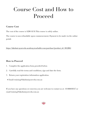### Course Cost and How to Proceed

#### **Course Cost**

The cost of the course is \$290 AUD. This course is solely online.

The course is non-refundable upon commencement. Payment to be made via the online portal.

[https://lakshmi-ayurveda-academy.teachable.com/purchase?product\\_id=3612064](https://lakshmi-ayurveda-academy.teachable.com/purchase?product_id=3612064)

#### **How to Proceed**

- 1. Complete the application form provided below.
- 2. Carefully read the terms and conditions, sign and date the form.
- 3. Return your registration information application.
	- Email: training@lakshmiayurveda.com.au

If you have any questions or concerns you are welcome to contact us at +61406810547 or email training@lakshmiayurveda.com.au

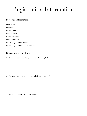### Registration Information

#### **Personal Information**

First Name: Surname: Email Address: Date of Birth: Home Address: Phone Number: Emergency Contact Name: Emergency Contact Phone Number:

#### **Registration Questions**

1. Have you completed any Ayurvedic Training before?

2. Why are you interested in completing the course?

3. What do you love about Ayurveda?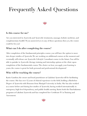## Frequently Asked Questions



#### **Is this course for me?**

Are you interested in Ayurveda and Ayurvedic treatments, massage, holistic medicine, and complementary health? If you answered yes to any of these questions then yes, the course could be for you!

#### **What can I do after completing the course?**

After completion of the fundamental principles course, you will have the option to move into deeper studies of Ayurveda. We are working on additional courses at the moment and eventually will release our Ayurvedic Lifestyle Consultant course in the future. You will be able to partake in Ayurvedic therapy training and internship options at the clinic upon completion of the fundamentals course. The choice on how you apply your learning is yours, the course is great for both personal and professional development!

#### **Who will be teaching the course?**

Karin Gunthor, the owner and head practitioner at Lakshmi Ayurveda will be facilitating the course. She has over 12 years of clinical experience in the field, holding a Bachelors Degree of Ayurveda with Honours from Manipal University in India. She has also worked as a nurse before and during her studies of Ayurveda, having worked internationally in emergency, high-level dependency, and public health nursing. Karin leads the Panchakarma programs at Lakshmi Ayurveda and has completed her Certificate IV in Training and Assessment.